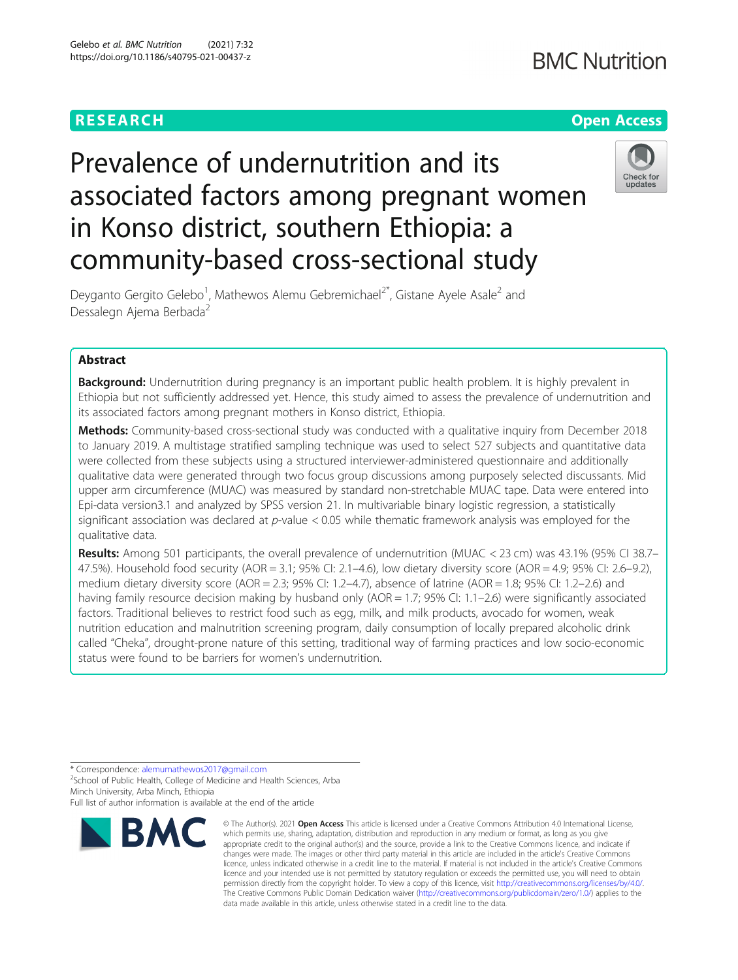# **RESEARCH CHE Open Access**

# **BMC Nutrition**

# Prevalence of undernutrition and its associated factors among pregnant women in Konso district, southern Ethiopia: a community-based cross-sectional study



Deyganto Gergito Gelebo<sup>1</sup>, Mathewos Alemu Gebremichael<sup>2\*</sup>, Gistane Ayele Asale<sup>2</sup> and Dessalegn Ajema Berbada<sup>2</sup>

# Abstract

**Background:** Undernutrition during pregnancy is an important public health problem. It is highly prevalent in Ethiopia but not sufficiently addressed yet. Hence, this study aimed to assess the prevalence of undernutrition and its associated factors among pregnant mothers in Konso district, Ethiopia.

Methods: Community-based cross-sectional study was conducted with a qualitative inquiry from December 2018 to January 2019. A multistage stratified sampling technique was used to select 527 subjects and quantitative data were collected from these subjects using a structured interviewer-administered questionnaire and additionally qualitative data were generated through two focus group discussions among purposely selected discussants. Mid upper arm circumference (MUAC) was measured by standard non-stretchable MUAC tape. Data were entered into Epi-data version3.1 and analyzed by SPSS version 21. In multivariable binary logistic regression, a statistically significant association was declared at  $p$ -value < 0.05 while thematic framework analysis was employed for the qualitative data.

Results: Among 501 participants, the overall prevalence of undernutrition (MUAC < 23 cm) was 43.1% (95% CI 38.7– 47.5%). Household food security (AOR = 3.1; 95% CI: 2.1–4.6), low dietary diversity score (AOR = 4.9; 95% CI: 2.6–9.2), medium dietary diversity score (AOR = 2.3; 95% CI: 1.2–4.7), absence of latrine (AOR = 1.8; 95% CI: 1.2–2.6) and having family resource decision making by husband only (AOR = 1.7; 95% CI: 1.1–2.6) were significantly associated factors. Traditional believes to restrict food such as egg, milk, and milk products, avocado for women, weak nutrition education and malnutrition screening program, daily consumption of locally prepared alcoholic drink called "Cheka", drought-prone nature of this setting, traditional way of farming practices and low socio-economic status were found to be barriers for women's undernutrition.

\* Correspondence: [alemumathewos2017@gmail.com](mailto:alemumathewos2017@gmail.com) <sup>2</sup> <sup>2</sup>School of Public Health, College of Medicine and Health Sciences, Arba

Minch University, Arba Minch, Ethiopia

Full list of author information is available at the end of the article



<sup>©</sup> The Author(s), 2021 **Open Access** This article is licensed under a Creative Commons Attribution 4.0 International License, which permits use, sharing, adaptation, distribution and reproduction in any medium or format, as long as you give appropriate credit to the original author(s) and the source, provide a link to the Creative Commons licence, and indicate if changes were made. The images or other third party material in this article are included in the article's Creative Commons licence, unless indicated otherwise in a credit line to the material. If material is not included in the article's Creative Commons licence and your intended use is not permitted by statutory regulation or exceeds the permitted use, you will need to obtain permission directly from the copyright holder. To view a copy of this licence, visit [http://creativecommons.org/licenses/by/4.0/.](http://creativecommons.org/licenses/by/4.0/) The Creative Commons Public Domain Dedication waiver [\(http://creativecommons.org/publicdomain/zero/1.0/](http://creativecommons.org/publicdomain/zero/1.0/)) applies to the data made available in this article, unless otherwise stated in a credit line to the data.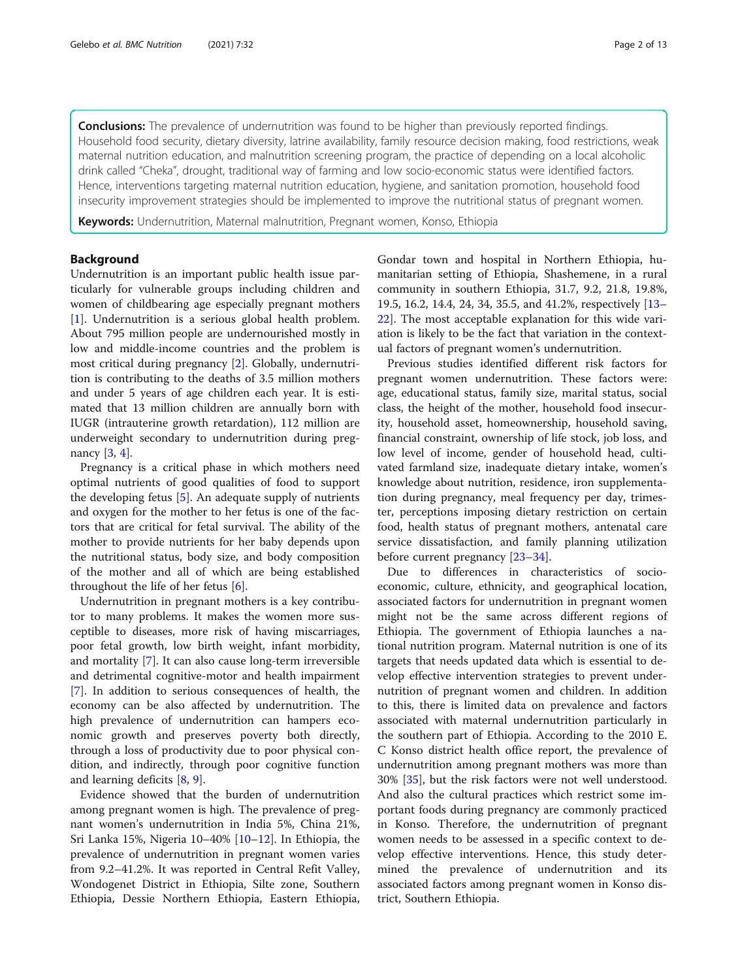**Conclusions:** The prevalence of undernutrition was found to be higher than previously reported findings. Household food security, dietary diversity, latrine availability, family resource decision making, food restrictions, weak maternal nutrition education, and malnutrition screening program, the practice of depending on a local alcoholic drink called "Cheka", drought, traditional way of farming and low socio-economic status were identified factors. Hence, interventions targeting maternal nutrition education, hygiene, and sanitation promotion, household food insecurity improvement strategies should be implemented to improve the nutritional status of pregnant women.

Keywords: Undernutrition, Maternal malnutrition, Pregnant women, Konso, Ethiopia

# Background

Undernutrition is an important public health issue particularly for vulnerable groups including children and women of childbearing age especially pregnant mothers [[1\]](#page-11-0). Undernutrition is a serious global health problem. About 795 million people are undernourished mostly in low and middle-income countries and the problem is most critical during pregnancy [[2\]](#page-11-0). Globally, undernutrition is contributing to the deaths of 3.5 million mothers and under 5 years of age children each year. It is estimated that 13 million children are annually born with IUGR (intrauterine growth retardation), 112 million are underweight secondary to undernutrition during pregnancy [[3,](#page-11-0) [4\]](#page-11-0).

Pregnancy is a critical phase in which mothers need optimal nutrients of good qualities of food to support the developing fetus [\[5](#page-11-0)]. An adequate supply of nutrients and oxygen for the mother to her fetus is one of the factors that are critical for fetal survival. The ability of the mother to provide nutrients for her baby depends upon the nutritional status, body size, and body composition of the mother and all of which are being established throughout the life of her fetus  $[6]$  $[6]$ .

Undernutrition in pregnant mothers is a key contributor to many problems. It makes the women more susceptible to diseases, more risk of having miscarriages, poor fetal growth, low birth weight, infant morbidity, and mortality [[7\]](#page-11-0). It can also cause long-term irreversible and detrimental cognitive-motor and health impairment [[7\]](#page-11-0). In addition to serious consequences of health, the economy can be also affected by undernutrition. The high prevalence of undernutrition can hampers economic growth and preserves poverty both directly, through a loss of productivity due to poor physical condition, and indirectly, through poor cognitive function and learning deficits [[8,](#page-11-0) [9\]](#page-11-0).

Evidence showed that the burden of undernutrition among pregnant women is high. The prevalence of pregnant women's undernutrition in India 5%, China 21%, Sri Lanka 15%, Nigeria 10–40% [[10](#page-11-0)–[12](#page-11-0)]. In Ethiopia, the prevalence of undernutrition in pregnant women varies from 9.2–41.2%. It was reported in Central Refit Valley, Wondogenet District in Ethiopia, Silte zone, Southern Ethiopia, Dessie Northern Ethiopia, Eastern Ethiopia, Gondar town and hospital in Northern Ethiopia, humanitarian setting of Ethiopia, Shashemene, in a rural community in southern Ethiopia, 31.7, 9.2, 21.8, 19.8%, 19.5, 16.2, 14.4, 24, 34, 35.5, and 41.2%, respectively [[13](#page-11-0)– [22\]](#page-11-0). The most acceptable explanation for this wide variation is likely to be the fact that variation in the contextual factors of pregnant women's undernutrition.

Previous studies identified different risk factors for pregnant women undernutrition. These factors were: age, educational status, family size, marital status, social class, the height of the mother, household food insecurity, household asset, homeownership, household saving, financial constraint, ownership of life stock, job loss, and low level of income, gender of household head, cultivated farmland size, inadequate dietary intake, women's knowledge about nutrition, residence, iron supplementation during pregnancy, meal frequency per day, trimester, perceptions imposing dietary restriction on certain food, health status of pregnant mothers, antenatal care service dissatisfaction, and family planning utilization before current pregnancy [\[23](#page-11-0)–[34\]](#page-11-0).

Due to differences in characteristics of socioeconomic, culture, ethnicity, and geographical location, associated factors for undernutrition in pregnant women might not be the same across different regions of Ethiopia. The government of Ethiopia launches a national nutrition program. Maternal nutrition is one of its targets that needs updated data which is essential to develop effective intervention strategies to prevent undernutrition of pregnant women and children. In addition to this, there is limited data on prevalence and factors associated with maternal undernutrition particularly in the southern part of Ethiopia. According to the 2010 E. C Konso district health office report, the prevalence of undernutrition among pregnant mothers was more than 30% [\[35\]](#page-11-0), but the risk factors were not well understood. And also the cultural practices which restrict some important foods during pregnancy are commonly practiced in Konso. Therefore, the undernutrition of pregnant women needs to be assessed in a specific context to develop effective interventions. Hence, this study determined the prevalence of undernutrition and its associated factors among pregnant women in Konso district, Southern Ethiopia.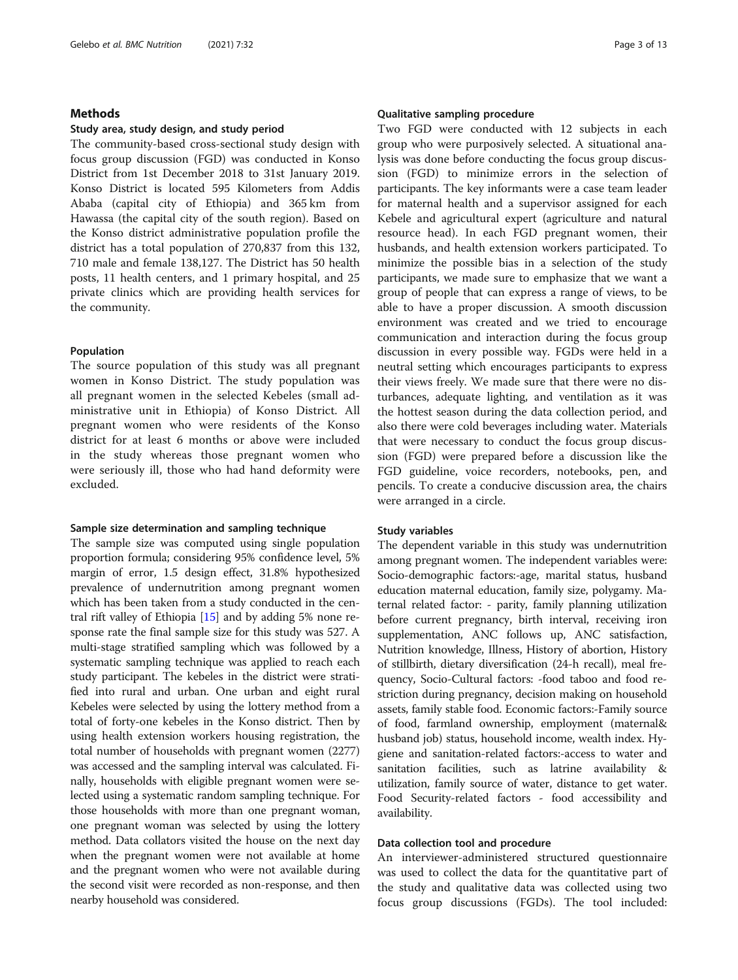# Methods

#### Study area, study design, and study period

The community-based cross-sectional study design with focus group discussion (FGD) was conducted in Konso District from 1st December 2018 to 31st January 2019. Konso District is located 595 Kilometers from Addis Ababa (capital city of Ethiopia) and 365 km from Hawassa (the capital city of the south region). Based on the Konso district administrative population profile the district has a total population of 270,837 from this 132, 710 male and female 138,127. The District has 50 health posts, 11 health centers, and 1 primary hospital, and 25 private clinics which are providing health services for the community.

#### Population

The source population of this study was all pregnant women in Konso District. The study population was all pregnant women in the selected Kebeles (small administrative unit in Ethiopia) of Konso District. All pregnant women who were residents of the Konso district for at least 6 months or above were included in the study whereas those pregnant women who were seriously ill, those who had hand deformity were excluded.

#### Sample size determination and sampling technique

The sample size was computed using single population proportion formula; considering 95% confidence level, 5% margin of error, 1.5 design effect, 31.8% hypothesized prevalence of undernutrition among pregnant women which has been taken from a study conducted in the central rift valley of Ethiopia [\[15](#page-11-0)] and by adding 5% none response rate the final sample size for this study was 527. A multi-stage stratified sampling which was followed by a systematic sampling technique was applied to reach each study participant. The kebeles in the district were stratified into rural and urban. One urban and eight rural Kebeles were selected by using the lottery method from a total of forty-one kebeles in the Konso district. Then by using health extension workers housing registration, the total number of households with pregnant women (2277) was accessed and the sampling interval was calculated. Finally, households with eligible pregnant women were selected using a systematic random sampling technique. For those households with more than one pregnant woman, one pregnant woman was selected by using the lottery method. Data collators visited the house on the next day when the pregnant women were not available at home and the pregnant women who were not available during the second visit were recorded as non-response, and then nearby household was considered.

#### Qualitative sampling procedure

Two FGD were conducted with 12 subjects in each group who were purposively selected. A situational analysis was done before conducting the focus group discussion (FGD) to minimize errors in the selection of participants. The key informants were a case team leader for maternal health and a supervisor assigned for each Kebele and agricultural expert (agriculture and natural resource head). In each FGD pregnant women, their husbands, and health extension workers participated. To minimize the possible bias in a selection of the study participants, we made sure to emphasize that we want a group of people that can express a range of views, to be able to have a proper discussion. A smooth discussion environment was created and we tried to encourage communication and interaction during the focus group discussion in every possible way. FGDs were held in a neutral setting which encourages participants to express their views freely. We made sure that there were no disturbances, adequate lighting, and ventilation as it was the hottest season during the data collection period, and also there were cold beverages including water. Materials that were necessary to conduct the focus group discussion (FGD) were prepared before a discussion like the FGD guideline, voice recorders, notebooks, pen, and pencils. To create a conducive discussion area, the chairs were arranged in a circle.

### Study variables

The dependent variable in this study was undernutrition among pregnant women. The independent variables were: Socio-demographic factors:-age, marital status, husband education maternal education, family size, polygamy. Maternal related factor: - parity, family planning utilization before current pregnancy, birth interval, receiving iron supplementation, ANC follows up, ANC satisfaction, Nutrition knowledge, Illness, History of abortion, History of stillbirth, dietary diversification (24-h recall), meal frequency, Socio-Cultural factors: -food taboo and food restriction during pregnancy, decision making on household assets, family stable food. Economic factors:-Family source of food, farmland ownership, employment (maternal& husband job) status, household income, wealth index. Hygiene and sanitation-related factors:-access to water and sanitation facilities, such as latrine availability & utilization, family source of water, distance to get water. Food Security-related factors - food accessibility and availability.

# Data collection tool and procedure

An interviewer-administered structured questionnaire was used to collect the data for the quantitative part of the study and qualitative data was collected using two focus group discussions (FGDs). The tool included: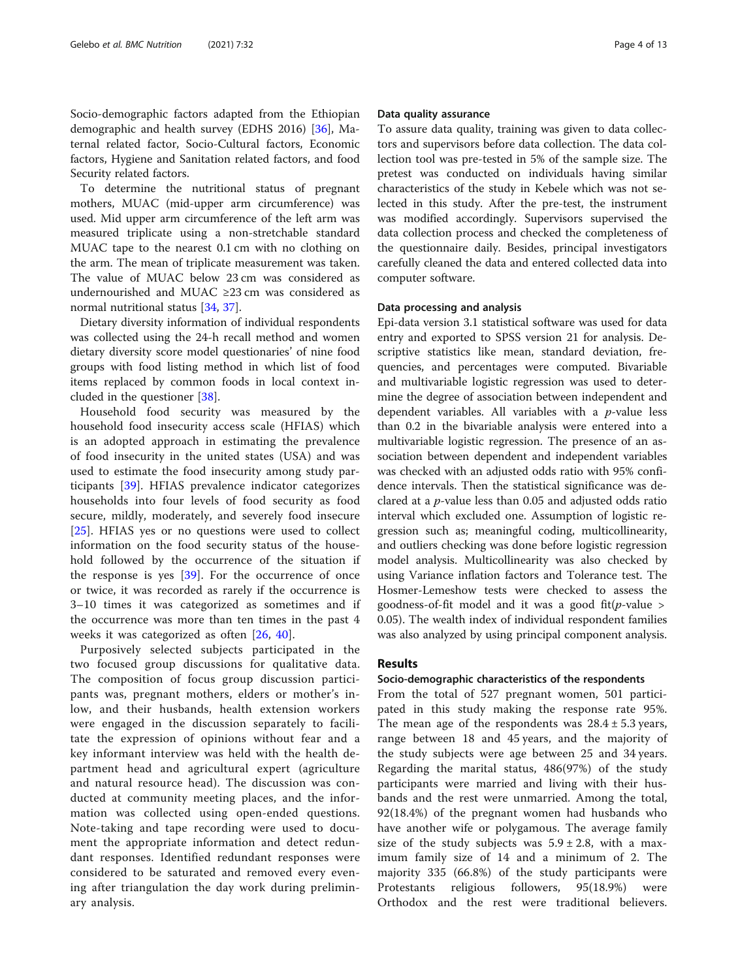Socio-demographic factors adapted from the Ethiopian demographic and health survey (EDHS 2016) [\[36](#page-11-0)], Maternal related factor, Socio-Cultural factors, Economic factors, Hygiene and Sanitation related factors, and food Security related factors.

To determine the nutritional status of pregnant mothers, MUAC (mid-upper arm circumference) was used. Mid upper arm circumference of the left arm was measured triplicate using a non-stretchable standard MUAC tape to the nearest 0.1 cm with no clothing on the arm. The mean of triplicate measurement was taken. The value of MUAC below 23 cm was considered as undernourished and MUAC ≥23 cm was considered as normal nutritional status [\[34,](#page-11-0) [37\]](#page-11-0).

Dietary diversity information of individual respondents was collected using the 24-h recall method and women dietary diversity score model questionaries' of nine food groups with food listing method in which list of food items replaced by common foods in local context included in the questioner [[38](#page-11-0)].

Household food security was measured by the household food insecurity access scale (HFIAS) which is an adopted approach in estimating the prevalence of food insecurity in the united states (USA) and was used to estimate the food insecurity among study participants [\[39](#page-11-0)]. HFIAS prevalence indicator categorizes households into four levels of food security as food secure, mildly, moderately, and severely food insecure [[25\]](#page-11-0). HFIAS yes or no questions were used to collect information on the food security status of the household followed by the occurrence of the situation if the response is yes [[39\]](#page-11-0). For the occurrence of once or twice, it was recorded as rarely if the occurrence is 3–10 times it was categorized as sometimes and if the occurrence was more than ten times in the past 4 weeks it was categorized as often [[26,](#page-11-0) [40\]](#page-11-0).

Purposively selected subjects participated in the two focused group discussions for qualitative data. The composition of focus group discussion participants was, pregnant mothers, elders or mother's inlow, and their husbands, health extension workers were engaged in the discussion separately to facilitate the expression of opinions without fear and a key informant interview was held with the health department head and agricultural expert (agriculture and natural resource head). The discussion was conducted at community meeting places, and the information was collected using open-ended questions. Note-taking and tape recording were used to document the appropriate information and detect redundant responses. Identified redundant responses were considered to be saturated and removed every evening after triangulation the day work during preliminary analysis.

#### Data quality assurance

To assure data quality, training was given to data collectors and supervisors before data collection. The data collection tool was pre-tested in 5% of the sample size. The pretest was conducted on individuals having similar characteristics of the study in Kebele which was not selected in this study. After the pre-test, the instrument was modified accordingly. Supervisors supervised the data collection process and checked the completeness of the questionnaire daily. Besides, principal investigators carefully cleaned the data and entered collected data into computer software.

# Data processing and analysis

Epi-data version 3.1 statistical software was used for data entry and exported to SPSS version 21 for analysis. Descriptive statistics like mean, standard deviation, frequencies, and percentages were computed. Bivariable and multivariable logistic regression was used to determine the degree of association between independent and dependent variables. All variables with a  $p$ -value less than 0.2 in the bivariable analysis were entered into a multivariable logistic regression. The presence of an association between dependent and independent variables was checked with an adjusted odds ratio with 95% confidence intervals. Then the statistical significance was declared at a p-value less than 0.05 and adjusted odds ratio interval which excluded one. Assumption of logistic regression such as; meaningful coding, multicollinearity, and outliers checking was done before logistic regression model analysis. Multicollinearity was also checked by using Variance inflation factors and Tolerance test. The Hosmer-Lemeshow tests were checked to assess the goodness-of-fit model and it was a good fit( $p$ -value > 0.05). The wealth index of individual respondent families was also analyzed by using principal component analysis.

# Results

#### Socio-demographic characteristics of the respondents

From the total of 527 pregnant women, 501 participated in this study making the response rate 95%. The mean age of the respondents was  $28.4 \pm 5.3$  years, range between 18 and 45 years, and the majority of the study subjects were age between 25 and 34 years. Regarding the marital status, 486(97%) of the study participants were married and living with their husbands and the rest were unmarried. Among the total, 92(18.4%) of the pregnant women had husbands who have another wife or polygamous. The average family size of the study subjects was  $5.9 \pm 2.8$ , with a maximum family size of 14 and a minimum of 2. The majority 335 (66.8%) of the study participants were Protestants religious followers, 95(18.9%) were Orthodox and the rest were traditional believers.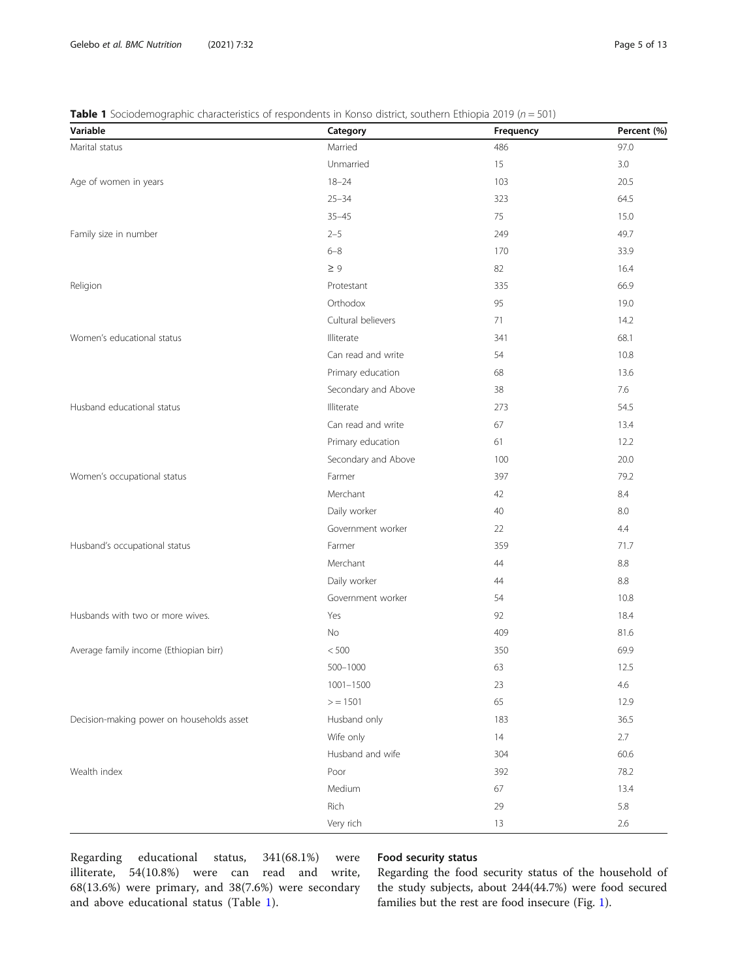# **Table 1** Sociodemographic characteristics of respondents in Konso district, southern Ethiopia 2019 ( $n = 501$ )

| Variable                                  | Category            | Frequency | Percent (%) |
|-------------------------------------------|---------------------|-----------|-------------|
| Marital status                            | Married             | 486       | 97.0        |
|                                           | Unmarried           | 15        | 3.0         |
| Age of women in years                     | $18 - 24$           | 103       | 20.5        |
|                                           | $25 - 34$           | 323       | 64.5        |
|                                           | $35 - 45$           | 75        | 15.0        |
| Family size in number                     | $2 - 5$             | 249       | 49.7        |
|                                           | $6 - 8$             | 170       | 33.9        |
|                                           | $\geq 9$            | 82        | 16.4        |
| Religion                                  | Protestant          | 335       | 66.9        |
|                                           | Orthodox            | 95        | 19.0        |
|                                           | Cultural believers  | 71        | 14.2        |
| Women's educational status                | Illiterate          | 341       | 68.1        |
|                                           | Can read and write  | 54        | 10.8        |
|                                           | Primary education   | 68        | 13.6        |
|                                           | Secondary and Above | 38        | 7.6         |
| Husband educational status                | Illiterate          | 273       | 54.5        |
|                                           | Can read and write  | 67        | 13.4        |
|                                           | Primary education   | 61        | 12.2        |
|                                           | Secondary and Above | 100       | 20.0        |
| Women's occupational status               | Farmer              | 397       | 79.2        |
|                                           | Merchant            | 42        | 8.4         |
|                                           | Daily worker        | 40        | 8.0         |
|                                           | Government worker   | 22        | 4.4         |
| Husband's occupational status             | Farmer              | 359       | 71.7        |
|                                           | Merchant            | 44        | 8.8         |
|                                           | Daily worker        | 44        | $8.8\,$     |
|                                           | Government worker   | 54        | 10.8        |
| Husbands with two or more wives.          | Yes                 | 92        | 18.4        |
|                                           | No                  | 409       | 81.6        |
| Average family income (Ethiopian birr)    | $<500$              | 350       | 69.9        |
|                                           | 500-1000            | 63        | 12.5        |
|                                           | 1001-1500           | 23        | 4.6         |
|                                           | $>$ = 1501          | 65        | 12.9        |
| Decision-making power on households asset | Husband only        | 183       | 36.5        |
|                                           | Wife only           | 14        | 2.7         |
|                                           | Husband and wife    | 304       | 60.6        |
| Wealth index                              | Poor                | 392       | 78.2        |
|                                           | Medium              | 67        | 13.4        |
|                                           | Rich                | 29        | 5.8         |
|                                           | Very rich           | 13        | 2.6         |

Regarding educational status, 341(68.1%) were illiterate, 54(10.8%) were can read and write, 68(13.6%) were primary, and 38(7.6%) were secondary and above educational status (Table 1).

# Food security status

Regarding the food security status of the household of the study subjects, about 244(44.7%) were food secured families but the rest are food insecure (Fig. [1](#page-5-0)).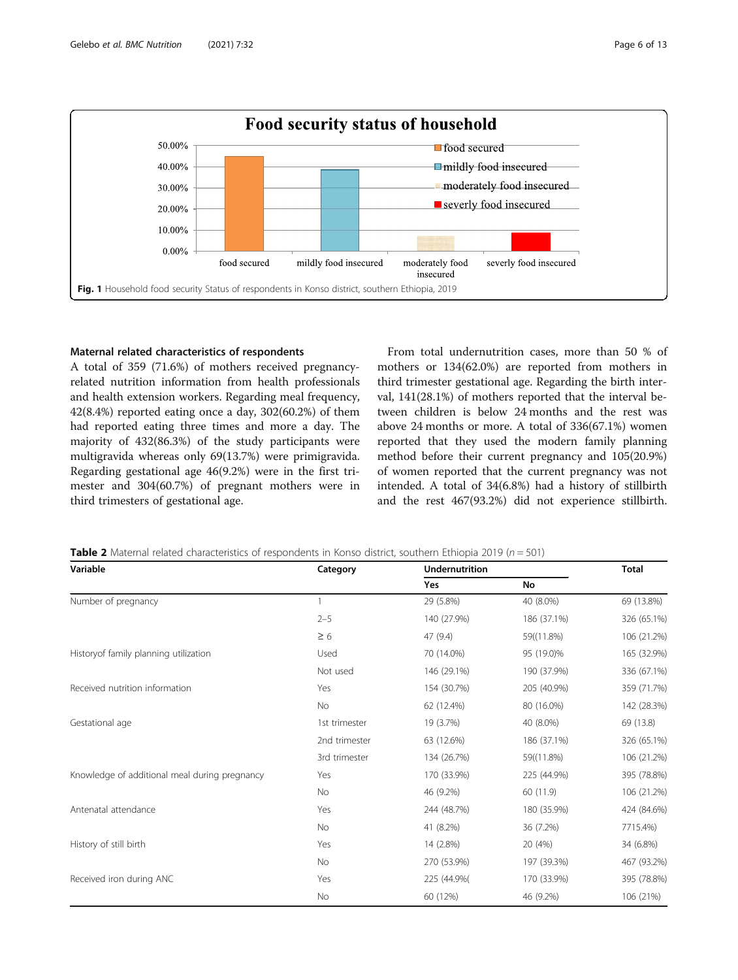<span id="page-5-0"></span>

# Maternal related characteristics of respondents

A total of 359 (71.6%) of mothers received pregnancyrelated nutrition information from health professionals and health extension workers. Regarding meal frequency, 42(8.4%) reported eating once a day, 302(60.2%) of them had reported eating three times and more a day. The majority of 432(86.3%) of the study participants were multigravida whereas only 69(13.7%) were primigravida. Regarding gestational age 46(9.2%) were in the first trimester and 304(60.7%) of pregnant mothers were in third trimesters of gestational age.

From total undernutrition cases, more than 50 % of mothers or 134(62.0%) are reported from mothers in third trimester gestational age. Regarding the birth interval, 141(28.1%) of mothers reported that the interval between children is below 24 months and the rest was above 24 months or more. A total of 336(67.1%) women reported that they used the modern family planning method before their current pregnancy and 105(20.9%) of women reported that the current pregnancy was not intended. A total of 34(6.8%) had a history of stillbirth and the rest 467(93.2%) did not experience stillbirth.

| <b>Table 2</b> Maternal related characteristics of respondents in Konso district, southern Ethiopia 2019 ( $n = 501$ ) |  |
|------------------------------------------------------------------------------------------------------------------------|--|
|------------------------------------------------------------------------------------------------------------------------|--|

| Variable                                      | Category      | <b>Undernutrition</b> |             |             |  |
|-----------------------------------------------|---------------|-----------------------|-------------|-------------|--|
|                                               |               | <b>Yes</b>            | No          |             |  |
| Number of pregnancy                           |               | 29 (5.8%)             | 40 (8.0%)   | 69 (13.8%)  |  |
|                                               | $2 - 5$       | 140 (27.9%)           | 186 (37.1%) | 326 (65.1%) |  |
|                                               | $\geq 6$      | 47 (9.4)              | 59((11.8%)  | 106 (21.2%) |  |
| Historyof family planning utilization         | Used          | 70 (14.0%)            | 95 (19.0)%  | 165 (32.9%) |  |
|                                               | Not used      | 146 (29.1%)           | 190 (37.9%) | 336 (67.1%) |  |
| Received nutrition information                | Yes           | 154 (30.7%)           | 205 (40.9%) | 359 (71.7%) |  |
|                                               | No            | 62 (12.4%)            | 80 (16.0%)  | 142 (28.3%) |  |
| Gestational age                               | 1st trimester | 19 (3.7%)             | 40 (8.0%)   | 69 (13.8)   |  |
|                                               | 2nd trimester | 63 (12.6%)            | 186 (37.1%) | 326 (65.1%) |  |
|                                               | 3rd trimester | 134 (26.7%)           | 59((11.8%)  | 106 (21.2%) |  |
| Knowledge of additional meal during pregnancy | Yes           | 170 (33.9%)           | 225 (44.9%) | 395 (78.8%) |  |
|                                               | No            | 46 (9.2%)             | 60 (11.9)   | 106 (21.2%) |  |
| Antenatal attendance                          | Yes           | 244 (48.7%)           | 180 (35.9%) | 424 (84.6%) |  |
|                                               | No            | 41 (8.2%)             | 36 (7.2%)   | 7715.4%)    |  |
| History of still birth                        | Yes           | 14 (2.8%)             | 20 (4%)     | 34 (6.8%)   |  |
|                                               | No            | 270 (53.9%)           | 197 (39.3%) | 467 (93.2%) |  |
| Received iron during ANC                      | Yes           | 225 (44.9%)           | 170 (33.9%) | 395 (78.8%) |  |
|                                               | No            | 60 (12%)              | 46 (9.2%)   | 106 (21%)   |  |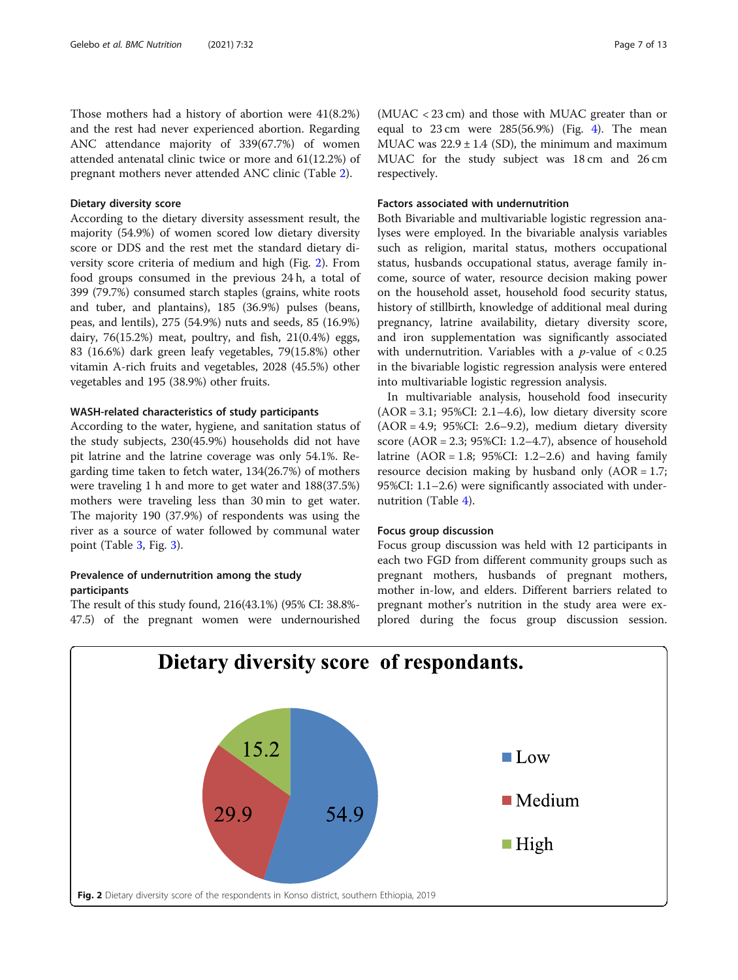Those mothers had a history of abortion were 41(8.2%) and the rest had never experienced abortion. Regarding ANC attendance majority of 339(67.7%) of women attended antenatal clinic twice or more and 61(12.2%) of pregnant mothers never attended ANC clinic (Table [2](#page-5-0)).

#### Dietary diversity score

According to the dietary diversity assessment result, the majority (54.9%) of women scored low dietary diversity score or DDS and the rest met the standard dietary diversity score criteria of medium and high (Fig. 2). From food groups consumed in the previous 24 h, a total of 399 (79.7%) consumed starch staples (grains, white roots and tuber, and plantains), 185 (36.9%) pulses (beans, peas, and lentils), 275 (54.9%) nuts and seeds, 85 (16.9%) dairy, 76(15.2%) meat, poultry, and fish, 21(0.4%) eggs, 83 (16.6%) dark green leafy vegetables, 79(15.8%) other vitamin A-rich fruits and vegetables, 2028 (45.5%) other vegetables and 195 (38.9%) other fruits.

### WASH-related characteristics of study participants

According to the water, hygiene, and sanitation status of the study subjects, 230(45.9%) households did not have pit latrine and the latrine coverage was only 54.1%. Regarding time taken to fetch water, 134(26.7%) of mothers were traveling 1 h and more to get water and 188(37.5%) mothers were traveling less than 30 min to get water. The majority 190 (37.9%) of respondents was using the river as a source of water followed by communal water point (Table [3](#page-7-0), Fig. [3\)](#page-7-0).

# Prevalence of undernutrition among the study participants

The result of this study found, 216(43.1%) (95% CI: 38.8%- 47.5) of the pregnant women were undernourished

(MUAC < 23 cm) and those with MUAC greater than or equal to  $23 \text{ cm}$  were  $285(56.9%)$  (Fig. [4](#page-8-0)). The mean MUAC was  $22.9 \pm 1.4$  (SD), the minimum and maximum MUAC for the study subject was 18 cm and 26 cm respectively.

# Factors associated with undernutrition

Both Bivariable and multivariable logistic regression analyses were employed. In the bivariable analysis variables such as religion, marital status, mothers occupational status, husbands occupational status, average family income, source of water, resource decision making power on the household asset, household food security status, history of stillbirth, knowledge of additional meal during pregnancy, latrine availability, dietary diversity score, and iron supplementation was significantly associated with undernutrition. Variables with a *p*-value of  $< 0.25$ in the bivariable logistic regression analysis were entered into multivariable logistic regression analysis.

In multivariable analysis, household food insecurity  $(AOR = 3.1; 95\%CI: 2.1–4.6)$ , low dietary diversity score (AOR = 4.9; 95%CI: 2.6–9.2), medium dietary diversity score  $(AOR = 2.3; 95\%CI: 1.2–4.7)$ , absence of household latrine  $(AOR = 1.8; 95\%CI: 1.2–2.6)$  and having family resource decision making by husband only  $(AOR = 1.7)$ ; 95%CI: 1.1–2.6) were significantly associated with undernutrition (Table [4](#page-8-0)).

### Focus group discussion

Focus group discussion was held with 12 participants in each two FGD from different community groups such as pregnant mothers, husbands of pregnant mothers, mother in-low, and elders. Different barriers related to pregnant mother's nutrition in the study area were explored during the focus group discussion session.

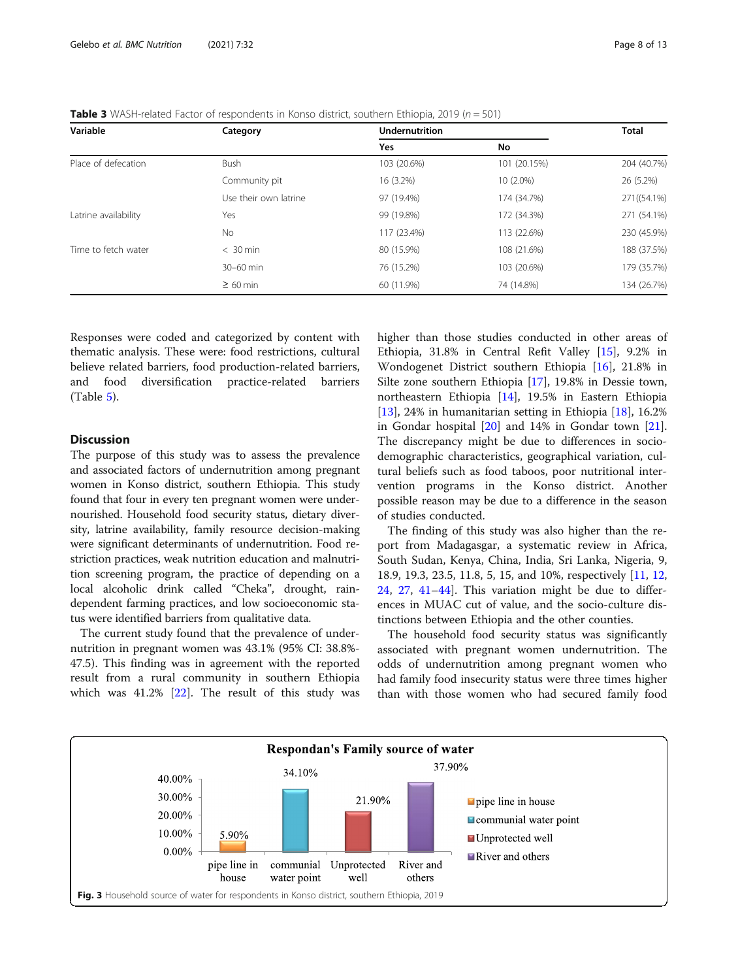<span id="page-7-0"></span>**Table 3** WASH-related Factor of respondents in Konso district, southern Ethiopia, 2019 ( $n = 501$ )

| Variable             | Category              | <b>Undernutrition</b> | <b>Total</b> |             |
|----------------------|-----------------------|-----------------------|--------------|-------------|
|                      |                       | Yes                   | No           |             |
| Place of defecation  | <b>Bush</b>           | 103 (20.6%)           | 101 (20.15%) | 204 (40.7%) |
|                      | Community pit         | 16 (3.2%)             | 10 (2.0%)    | 26 (5.2%)   |
|                      | Use their own latrine | 97 (19.4%)            | 174 (34.7%)  | 271((54.1%) |
| Latrine availability | Yes                   | 99 (19.8%)            | 172 (34.3%)  | 271 (54.1%) |
|                      | No.                   | 117 (23.4%)           | 113 (22.6%)  | 230 (45.9%) |
| Time to fetch water  | $< 30$ min            | 80 (15.9%)            | 108 (21.6%)  | 188 (37.5%) |
|                      | 30-60 min             | 76 (15.2%)            | 103 (20.6%)  | 179 (35.7%) |
|                      | $\geq 60$ min         | 60 (11.9%)            | 74 (14.8%)   | 134 (26.7%) |

Responses were coded and categorized by content with thematic analysis. These were: food restrictions, cultural believe related barriers, food production-related barriers, and food diversification practice-related barriers (Table [5\)](#page-9-0).

# Discussion

The purpose of this study was to assess the prevalence and associated factors of undernutrition among pregnant women in Konso district, southern Ethiopia. This study found that four in every ten pregnant women were undernourished. Household food security status, dietary diversity, latrine availability, family resource decision-making were significant determinants of undernutrition. Food restriction practices, weak nutrition education and malnutrition screening program, the practice of depending on a local alcoholic drink called "Cheka", drought, raindependent farming practices, and low socioeconomic status were identified barriers from qualitative data.

The current study found that the prevalence of undernutrition in pregnant women was 43.1% (95% CI: 38.8%- 47.5). This finding was in agreement with the reported result from a rural community in southern Ethiopia which was  $41.2\%$  [[22\]](#page-11-0). The result of this study was higher than those studies conducted in other areas of Ethiopia, 31.8% in Central Refit Valley [[15\]](#page-11-0), 9.2% in Wondogenet District southern Ethiopia [[16](#page-11-0)], 21.8% in Silte zone southern Ethiopia [[17\]](#page-11-0), 19.8% in Dessie town, northeastern Ethiopia [[14\]](#page-11-0), 19.5% in Eastern Ethiopia [[13\]](#page-11-0), 24% in humanitarian setting in Ethiopia [[18](#page-11-0)], 16.2% in Gondar hospital [\[20](#page-11-0)] and 14% in Gondar town [\[21](#page-11-0)]. The discrepancy might be due to differences in sociodemographic characteristics, geographical variation, cultural beliefs such as food taboos, poor nutritional intervention programs in the Konso district. Another possible reason may be due to a difference in the season of studies conducted.

The finding of this study was also higher than the report from Madagasgar, a systematic review in Africa, South Sudan, Kenya, China, India, Sri Lanka, Nigeria, 9, 18.9, 19.3, 23.5, 11.8, 5, 15, and 10%, respectively [[11](#page-11-0), [12](#page-11-0), [24,](#page-11-0) [27](#page-11-0), [41](#page-11-0)–[44\]](#page-11-0). This variation might be due to differences in MUAC cut of value, and the socio-culture distinctions between Ethiopia and the other counties.

The household food security status was significantly associated with pregnant women undernutrition. The odds of undernutrition among pregnant women who had family food insecurity status were three times higher than with those women who had secured family food

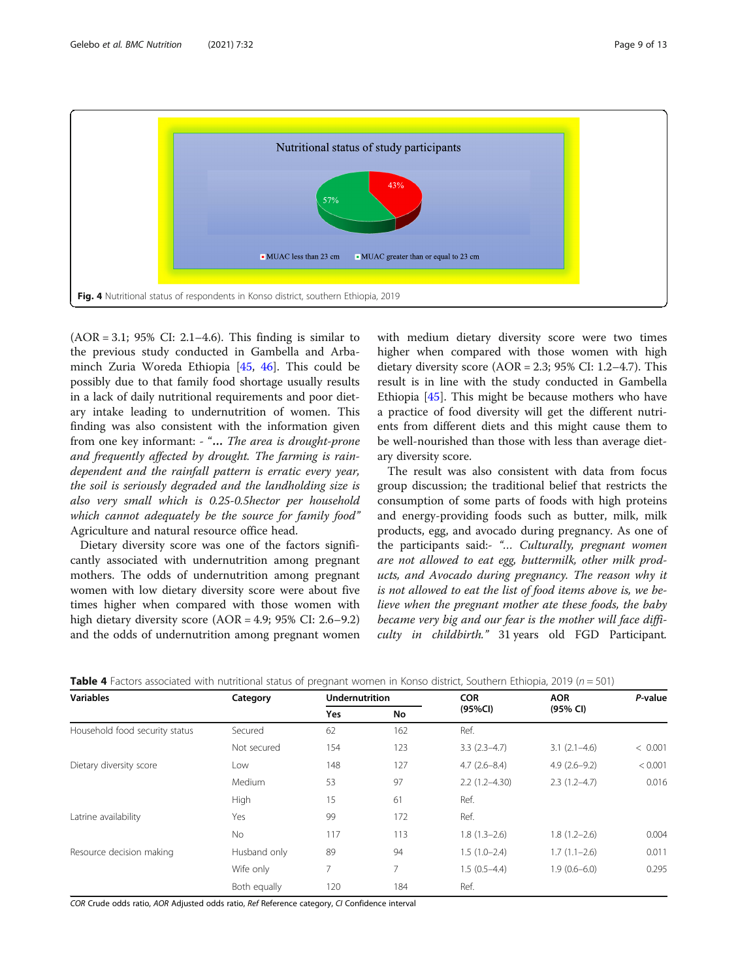<span id="page-8-0"></span>

(AOR = 3.1; 95% CI: 2.1–4.6). This finding is similar to the previous study conducted in Gambella and Arbaminch Zuria Woreda Ethiopia [[45,](#page-11-0) [46](#page-11-0)]. This could be possibly due to that family food shortage usually results in a lack of daily nutritional requirements and poor dietary intake leading to undernutrition of women. This finding was also consistent with the information given from one key informant: - "… The area is drought-prone and frequently affected by drought. The farming is raindependent and the rainfall pattern is erratic every year, the soil is seriously degraded and the landholding size is also very small which is 0.25-0.5hector per household which cannot adequately be the source for family food" Agriculture and natural resource office head.

Dietary diversity score was one of the factors significantly associated with undernutrition among pregnant mothers. The odds of undernutrition among pregnant women with low dietary diversity score were about five times higher when compared with those women with high dietary diversity score (AOR = 4.9; 95% CI: 2.6–9.2) and the odds of undernutrition among pregnant women with medium dietary diversity score were two times higher when compared with those women with high dietary diversity score ( $AOR = 2.3$ ; 95% CI: 1.2–4.7). This result is in line with the study conducted in Gambella Ethiopia [\[45](#page-11-0)]. This might be because mothers who have a practice of food diversity will get the different nutrients from different diets and this might cause them to be well-nourished than those with less than average dietary diversity score.

The result was also consistent with data from focus group discussion; the traditional belief that restricts the consumption of some parts of foods with high proteins and energy-providing foods such as butter, milk, milk products, egg, and avocado during pregnancy. As one of the participants said:- "… Culturally, pregnant women are not allowed to eat egg, buttermilk, other milk products, and Avocado during pregnancy. The reason why it is not allowed to eat the list of food items above is, we believe when the pregnant mother ate these foods, the baby became very big and our fear is the mother will face difficulty in childbirth." 31 years old FGD Participant.

| <b>Variables</b>               | Category     | <b>Undernutrition</b> |                | <b>COR</b>        | <b>AOR</b>       | P-value |
|--------------------------------|--------------|-----------------------|----------------|-------------------|------------------|---------|
|                                |              | <b>Yes</b>            | No             | (95%CI)           | (95% CI)         |         |
| Household food security status | Secured      | 62                    | 162            | Ref.              |                  |         |
|                                | Not secured  | 154                   | 123            | $3.3(2.3-4.7)$    | $3.1(2.1-4.6)$   | < 0.001 |
| Dietary diversity score        | Low          | 148                   | 127            | $4.7(2.6 - 8.4)$  | $4.9(2.6-9.2)$   | < 0.001 |
|                                | Medium       | 53                    | 97             | $2.2(1.2 - 4.30)$ | $2.3(1.2-4.7)$   | 0.016   |
|                                | <b>High</b>  | 15                    | 61             | Ref.              |                  |         |
| Latrine availability           | Yes          | 99                    | 172            | Ref.              |                  |         |
|                                | No.          | 117                   | 113            | $1.8(1.3-2.6)$    | $1.8(1.2 - 2.6)$ | 0.004   |
| Resource decision making       | Husband only | 89                    | 94             | $1.5(1.0-2.4)$    | $1.7(1.1-2.6)$   | 0.011   |
|                                | Wife only    | 7                     | $\overline{7}$ | $1.5(0.5-4.4)$    | $1.9(0.6 - 6.0)$ | 0.295   |
|                                | Both equally | 120                   | 184            | Ref.              |                  |         |

**Table 4** Factors associated with nutritional status of pregnant women in Konso district, Southern Ethiopia, 2019 ( $n = 501$ )

COR Crude odds ratio, AOR Adjusted odds ratio, Ref Reference category, CI Confidence interval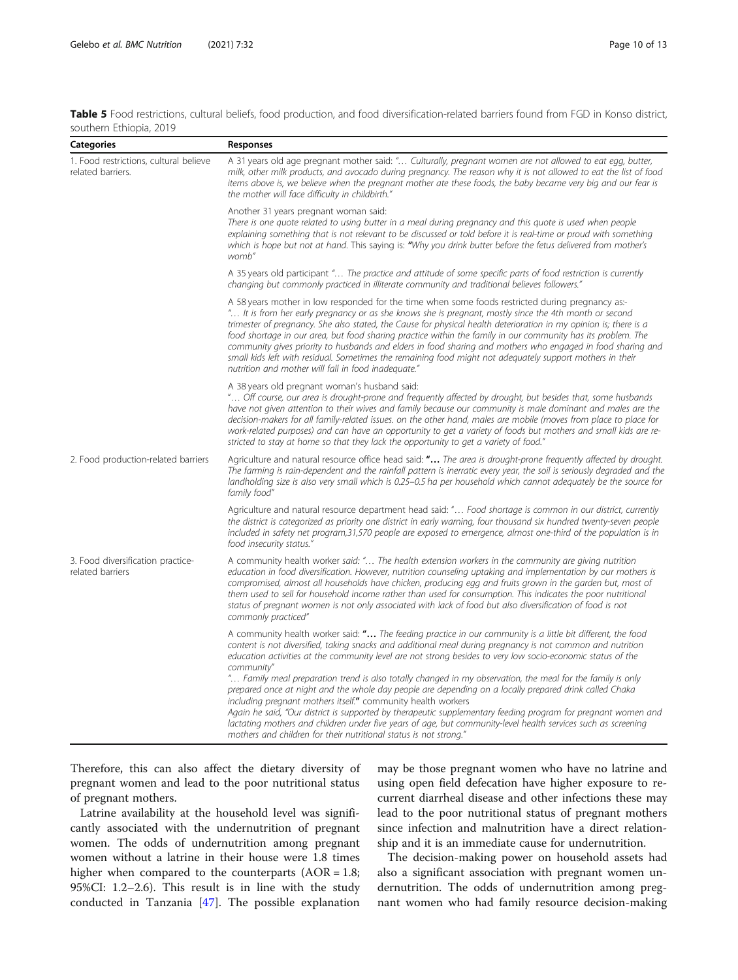<span id="page-9-0"></span>

| Table 5 Food restrictions, cultural beliefs, food production, and food diversification-related barriers found from FGD in Konso district, |  |  |  |  |
|-------------------------------------------------------------------------------------------------------------------------------------------|--|--|--|--|
| southern Ethiopia, 2019                                                                                                                   |  |  |  |  |

| <b>Categories</b>                                           | Responses                                                                                                                                                                                                                                                                                                                                                                                                                                                                                                                                                                                                                                                                                                                                                                                                                                                                                                                                             |
|-------------------------------------------------------------|-------------------------------------------------------------------------------------------------------------------------------------------------------------------------------------------------------------------------------------------------------------------------------------------------------------------------------------------------------------------------------------------------------------------------------------------------------------------------------------------------------------------------------------------------------------------------------------------------------------------------------------------------------------------------------------------------------------------------------------------------------------------------------------------------------------------------------------------------------------------------------------------------------------------------------------------------------|
| 1. Food restrictions, cultural believe<br>related barriers. | A 31 years old age pregnant mother said: " Culturally, pregnant women are not allowed to eat egg, butter,<br>milk, other milk products, and avocado during pregnancy. The reason why it is not allowed to eat the list of food<br>items above is, we believe when the pregnant mother ate these foods, the baby became very big and our fear is<br>the mother will face difficulty in childbirth."                                                                                                                                                                                                                                                                                                                                                                                                                                                                                                                                                    |
|                                                             | Another 31 years pregnant woman said:<br>There is one quote related to using butter in a meal during pregnancy and this quote is used when people<br>explaining something that is not relevant to be discussed or told before it is real-time or proud with something<br>which is hope but not at hand. This saying is: "Why you drink butter before the fetus delivered from mother's<br>womb"                                                                                                                                                                                                                                                                                                                                                                                                                                                                                                                                                       |
|                                                             | A 35 years old participant " The practice and attitude of some specific parts of food restriction is currently<br>changing but commonly practiced in illiterate community and traditional believes followers."                                                                                                                                                                                                                                                                                                                                                                                                                                                                                                                                                                                                                                                                                                                                        |
|                                                             | A 58 years mother in low responded for the time when some foods restricted during pregnancy as:-<br>" It is from her early pregnancy or as she knows she is pregnant, mostly since the 4th month or second<br>trimester of pregnancy. She also stated, the Cause for physical health deterioration in my opinion is; there is a<br>food shortage in our area, but food sharing practice within the family in our community has its problem. The<br>community gives priority to husbands and elders in food sharing and mothers who engaged in food sharing and<br>small kids left with residual. Sometimes the remaining food might not adequately support mothers in their<br>nutrition and mother will fall in food inadequate."                                                                                                                                                                                                                    |
|                                                             | A 38 years old pregnant woman's husband said:<br>" Off course, our area is drought-prone and frequently affected by drought, but besides that, some husbands<br>have not given attention to their wives and family because our community is male dominant and males are the<br>decision-makers for all family-related issues. on the other hand, males are mobile (moves from place to place for<br>work-related purposes) and can have an opportunity to get a variety of foods but mothers and small kids are re-<br>stricted to stay at home so that they lack the opportunity to get a variety of food."                                                                                                                                                                                                                                                                                                                                          |
| 2. Food production-related barriers                         | Agriculture and natural resource office head said: " The area is drought-prone frequently affected by drought.<br>The farming is rain-dependent and the rainfall pattern is inerratic every year, the soil is seriously degraded and the<br>landholding size is also very small which is 0.25–0.5 ha per household which cannot adequately be the source for<br>family food"                                                                                                                                                                                                                                                                                                                                                                                                                                                                                                                                                                          |
|                                                             | Agriculture and natural resource department head said: " Food shortage is common in our district, currently<br>the district is categorized as priority one district in early warning, four thousand six hundred twenty-seven people<br>included in safety net program,31,570 people are exposed to emergence, almost one-third of the population is in<br>food insecurity status."                                                                                                                                                                                                                                                                                                                                                                                                                                                                                                                                                                    |
| 3. Food diversification practice-<br>related barriers       | A community health worker said: " The health extension workers in the community are giving nutrition<br>education in food diversification. However, nutrition counseling uptaking and implementation by our mothers is<br>compromised, almost all households have chicken, producing egg and fruits grown in the garden but, most of<br>them used to sell for household income rather than used for consumption. This indicates the poor nutritional<br>status of pregnant women is not only associated with lack of food but also diversification of food is not<br>commonly practiced"                                                                                                                                                                                                                                                                                                                                                              |
|                                                             | A community health worker said: " The feeding practice in our community is a little bit different, the food<br>content is not diversified, taking snacks and additional meal during pregnancy is not common and nutrition<br>education activities at the community level are not strong besides to very low socio-economic status of the<br>community"<br>" Family meal preparation trend is also totally changed in my observation, the meal for the family is only<br>prepared once at night and the whole day people are depending on a locally prepared drink called Chaka<br>including pregnant mothers itself." community health workers<br>Again he said, "Our district is supported by therapeutic supplementary feeding program for pregnant women and<br>lactating mothers and children under five years of age, but community-level health services such as screening<br>mothers and children for their nutritional status is not strong." |

Therefore, this can also affect the dietary diversity of pregnant women and lead to the poor nutritional status of pregnant mothers.

Latrine availability at the household level was significantly associated with the undernutrition of pregnant women. The odds of undernutrition among pregnant women without a latrine in their house were 1.8 times higher when compared to the counterparts (AOR = 1.8; 95%CI: 1.2–2.6). This result is in line with the study conducted in Tanzania [[47](#page-12-0)]. The possible explanation

may be those pregnant women who have no latrine and using open field defecation have higher exposure to recurrent diarrheal disease and other infections these may lead to the poor nutritional status of pregnant mothers since infection and malnutrition have a direct relationship and it is an immediate cause for undernutrition.

The decision-making power on household assets had also a significant association with pregnant women undernutrition. The odds of undernutrition among pregnant women who had family resource decision-making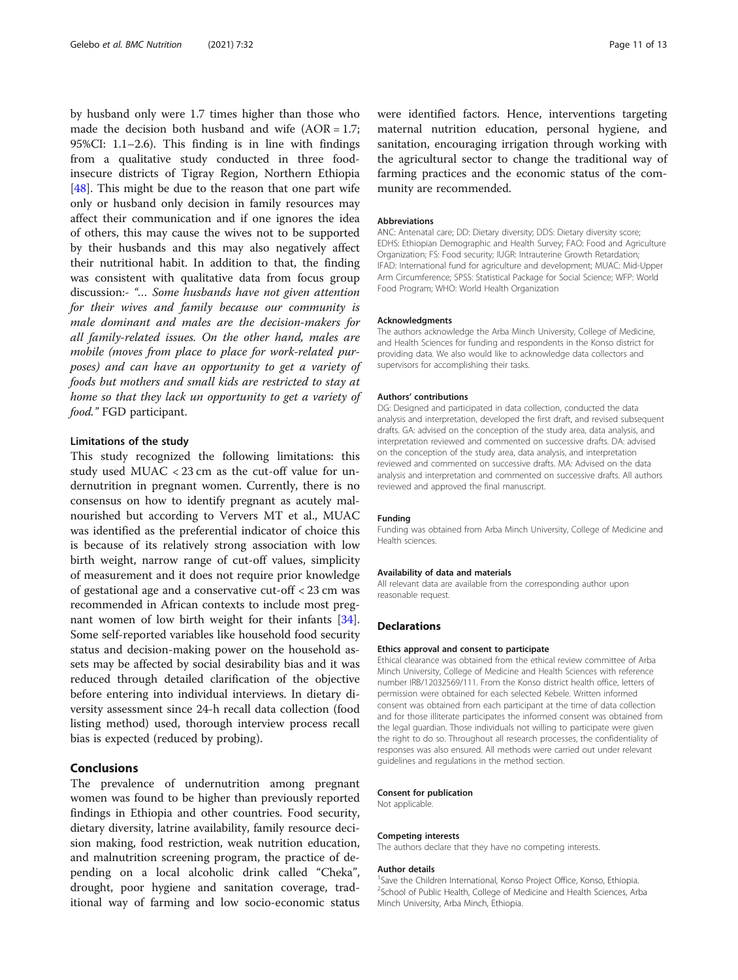by husband only were 1.7 times higher than those who made the decision both husband and wife  $(AOR = 1.7)$ ; 95%CI: 1.1–2.6). This finding is in line with findings from a qualitative study conducted in three foodinsecure districts of Tigray Region, Northern Ethiopia [ $48$ ]. This might be due to the reason that one part wife only or husband only decision in family resources may affect their communication and if one ignores the idea of others, this may cause the wives not to be supported by their husbands and this may also negatively affect their nutritional habit. In addition to that, the finding was consistent with qualitative data from focus group discussion:- "… Some husbands have not given attention for their wives and family because our community is male dominant and males are the decision-makers for all family-related issues. On the other hand, males are mobile (moves from place to place for work-related purposes) and can have an opportunity to get a variety of foods but mothers and small kids are restricted to stay at home so that they lack un opportunity to get a variety of food." FGD participant.

#### Limitations of the study

This study recognized the following limitations: this study used MUAC < 23 cm as the cut-off value for undernutrition in pregnant women. Currently, there is no consensus on how to identify pregnant as acutely malnourished but according to Ververs MT et al., MUAC was identified as the preferential indicator of choice this is because of its relatively strong association with low birth weight, narrow range of cut-off values, simplicity of measurement and it does not require prior knowledge of gestational age and a conservative cut-off < 23 cm was recommended in African contexts to include most pregnant women of low birth weight for their infants [\[34](#page-11-0)]. Some self-reported variables like household food security status and decision-making power on the household assets may be affected by social desirability bias and it was reduced through detailed clarification of the objective before entering into individual interviews. In dietary diversity assessment since 24-h recall data collection (food listing method) used, thorough interview process recall bias is expected (reduced by probing).

# Conclusions

The prevalence of undernutrition among pregnant women was found to be higher than previously reported findings in Ethiopia and other countries. Food security, dietary diversity, latrine availability, family resource decision making, food restriction, weak nutrition education, and malnutrition screening program, the practice of depending on a local alcoholic drink called "Cheka", drought, poor hygiene and sanitation coverage, traditional way of farming and low socio-economic status were identified factors. Hence, interventions targeting maternal nutrition education, personal hygiene, and sanitation, encouraging irrigation through working with the agricultural sector to change the traditional way of farming practices and the economic status of the community are recommended.

#### Abbreviations

ANC: Antenatal care; DD: Dietary diversity; DDS: Dietary diversity score; EDHS: Ethiopian Demographic and Health Survey; FAO: Food and Agriculture Organization; FS: Food security; IUGR: Intrauterine Growth Retardation; IFAD: International fund for agriculture and development; MUAC: Mid-Upper Arm Circumference; SPSS: Statistical Package for Social Science; WFP: World Food Program; WHO: World Health Organization

#### Acknowledgments

The authors acknowledge the Arba Minch University, College of Medicine, and Health Sciences for funding and respondents in the Konso district for providing data. We also would like to acknowledge data collectors and supervisors for accomplishing their tasks.

#### Authors' contributions

DG: Designed and participated in data collection, conducted the data analysis and interpretation, developed the first draft, and revised subsequent drafts. GA: advised on the conception of the study area, data analysis, and interpretation reviewed and commented on successive drafts. DA: advised on the conception of the study area, data analysis, and interpretation reviewed and commented on successive drafts. MA: Advised on the data analysis and interpretation and commented on successive drafts. All authors reviewed and approved the final manuscript.

#### Funding

Funding was obtained from Arba Minch University, College of Medicine and Health sciences.

#### Availability of data and materials

All relevant data are available from the corresponding author upon reasonable request.

#### Declarations

#### Ethics approval and consent to participate

Ethical clearance was obtained from the ethical review committee of Arba Minch University, College of Medicine and Health Sciences with reference number IRB/12032569/111. From the Konso district health office, letters of permission were obtained for each selected Kebele. Written informed consent was obtained from each participant at the time of data collection and for those illiterate participates the informed consent was obtained from the legal guardian. Those individuals not willing to participate were given the right to do so. Throughout all research processes, the confidentiality of responses was also ensured. All methods were carried out under relevant guidelines and regulations in the method section.

#### Consent for publication

Not applicable.

#### Competing interests

The authors declare that they have no competing interests.

#### Author details

<sup>1</sup>Save the Children International, Konso Project Office, Konso, Ethiopia. <sup>2</sup>School of Public Health, College of Medicine and Health Sciences, Arba Minch University, Arba Minch, Ethiopia.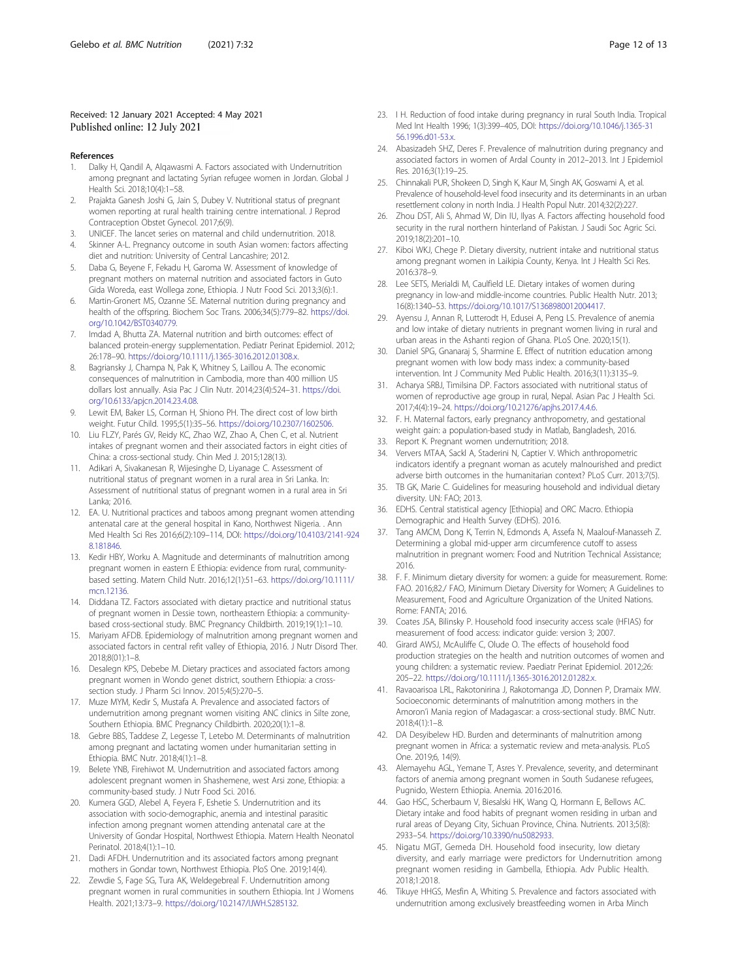#### <span id="page-11-0"></span>Received: 12 January 2021 Accepted: 4 May 2021 Published online: 12 July 2021

#### References

- 1. Dalky H, Qandil A, Alqawasmi A. Factors associated with Undernutrition among pregnant and lactating Syrian refugee women in Jordan. Global J Health Sci. 2018;10(4):1–58.
- 2. Prajakta Ganesh Joshi G, Jain S, Dubey V. Nutritional status of pregnant women reporting at rural health training centre international. J Reprod Contraception Obstet Gynecol. 2017;6(9).
- 3. UNICEF. The lancet series on maternal and child undernutrition. 2018.
- 4. Skinner A-L. Pregnancy outcome in south Asian women: factors affecting diet and nutrition: University of Central Lancashire; 2012.
- 5. Daba G, Beyene F, Fekadu H, Garoma W. Assessment of knowledge of pregnant mothers on maternal nutrition and associated factors in Guto Gida Woreda, east Wollega zone, Ethiopia. J Nutr Food Sci. 2013;3(6):1.
- 6. Martin-Gronert MS, Ozanne SE. Maternal nutrition during pregnancy and health of the offspring. Biochem Soc Trans. 2006;34(5):779–82. [https://doi.](https://doi.org/10.1042/BST0340779) [org/10.1042/BST0340779.](https://doi.org/10.1042/BST0340779)
- 7. Imdad A, Bhutta ZA. Maternal nutrition and birth outcomes: effect of balanced protein-energy supplementation. Pediatr Perinat Epidemiol. 2012; 26:178–90. <https://doi.org/10.1111/j.1365-3016.2012.01308.x>.
- 8. Bagriansky J, Champa N, Pak K, Whitney S, Laillou A. The economic consequences of malnutrition in Cambodia, more than 400 million US dollars lost annually. Asia Pac J Clin Nutr. 2014;23(4):524–31. [https://doi.](https://doi.org/10.6133/apjcn.2014.23.4.08) [org/10.6133/apjcn.2014.23.4.08.](https://doi.org/10.6133/apjcn.2014.23.4.08)
- Lewit EM, Baker LS, Corman H, Shiono PH. The direct cost of low birth weight. Futur Child. 1995;5(1):35–56. [https://doi.org/10.2307/1602506.](https://doi.org/10.2307/1602506)
- 10. Liu FLZY, Parés GV, Reidy KC, Zhao WZ, Zhao A, Chen C, et al. Nutrient intakes of pregnant women and their associated factors in eight cities of China: a cross-sectional study. Chin Med J. 2015;128(13).
- 11. Adikari A, Sivakanesan R, Wijesinghe D, Liyanage C. Assessment of nutritional status of pregnant women in a rural area in Sri Lanka. In: Assessment of nutritional status of pregnant women in a rural area in Sri Lanka; 2016.
- 12. EA. U. Nutritional practices and taboos among pregnant women attending antenatal care at the general hospital in Kano, Northwest Nigeria. . Ann Med Health Sci Res 2016;6(2):109–114, DOI: [https://doi.org/10.4103/2141-924](https://doi.org/10.4103/2141-9248.181846) [8.181846.](https://doi.org/10.4103/2141-9248.181846)
- 13. Kedir HBY, Worku A. Magnitude and determinants of malnutrition among pregnant women in eastern E Ethiopia: evidence from rural, communitybased setting. Matern Child Nutr. 2016;12(1):51–63. [https://doi.org/10.1111/](https://doi.org/10.1111/mcn.12136) [mcn.12136.](https://doi.org/10.1111/mcn.12136)
- 14. Diddana TZ. Factors associated with dietary practice and nutritional status of pregnant women in Dessie town, northeastern Ethiopia: a communitybased cross-sectional study. BMC Pregnancy Childbirth. 2019;19(1):1–10.
- 15. Mariyam AFDB. Epidemiology of malnutrition among pregnant women and associated factors in central refit valley of Ethiopia, 2016. J Nutr Disord Ther. 2018;8(01):1–8.
- 16. Desalegn KPS, Debebe M. Dietary practices and associated factors among pregnant women in Wondo genet district, southern Ethiopia: a crosssection study. J Pharm Sci Innov. 2015;4(5):270–5.
- 17. Muze MYM, Kedir S, Mustafa A. Prevalence and associated factors of undernutrition among pregnant women visiting ANC clinics in Silte zone, Southern Ethiopia. BMC Pregnancy Childbirth. 2020;20(1):1–8.
- 18. Gebre BBS, Taddese Z, Legesse T, Letebo M. Determinants of malnutrition among pregnant and lactating women under humanitarian setting in Ethiopia. BMC Nutr. 2018;4(1):1–8.
- 19. Belete YNB, Firehiwot M. Undernutrition and associated factors among adolescent pregnant women in Shashemene, west Arsi zone, Ethiopia: a community-based study. J Nutr Food Sci. 2016.
- 20. Kumera GGD, Alebel A, Feyera F, Eshetie S. Undernutrition and its association with socio-demographic, anemia and intestinal parasitic infection among pregnant women attending antenatal care at the University of Gondar Hospital, Northwest Ethiopia. Matern Health Neonatol Perinatol. 2018;4(1):1–10.
- 21. Dadi AFDH. Undernutrition and its associated factors among pregnant mothers in Gondar town, Northwest Ethiopia. PloS One. 2019;14(4).
- 22. Zewdie S, Fage SG, Tura AK, Weldegebreal F. Undernutrition among pregnant women in rural communities in southern Ethiopia. Int J Womens Health. 2021;13:73–9. [https://doi.org/10.2147/IJWH.S285132.](https://doi.org/10.2147/IJWH.S285132)
- 23. I H. Reduction of food intake during pregnancy in rural South India. Tropical Med Int Health 1996; 1(3):399–405, DOI: [https://doi.org/10.1046/j.1365-31](https://doi.org/10.1046/j.1365-3156.1996.d01-53.x) [56.1996.d01-53.x](https://doi.org/10.1046/j.1365-3156.1996.d01-53.x).
- 24. Abasizadeh SHZ, Deres F. Prevalence of malnutrition during pregnancy and associated factors in women of Ardal County in 2012–2013. Int J Epidemiol Res. 2016;3(1):19–25.
- 25. Chinnakali PUR, Shokeen D, Singh K, Kaur M, Singh AK, Goswami A, et al. Prevalence of household-level food insecurity and its determinants in an urban resettlement colony in north India. J Health Popul Nutr. 2014;32(2):227.
- 26. Zhou DST, Ali S, Ahmad W, Din IU, Ilyas A. Factors affecting household food security in the rural northern hinterland of Pakistan. J Saudi Soc Agric Sci. 2019;18(2):201–10.
- 27. Kiboi WKJ, Chege P. Dietary diversity, nutrient intake and nutritional status among pregnant women in Laikipia County, Kenya. Int J Health Sci Res. 2016:378–9.
- 28. Lee SETS, Merialdi M, Caulfield LE. Dietary intakes of women during pregnancy in low-and middle-income countries. Public Health Nutr. 2013; 16(8):1340–53. <https://doi.org/10.1017/S1368980012004417>.
- 29. Ayensu J, Annan R, Lutterodt H, Edusei A, Peng LS. Prevalence of anemia and low intake of dietary nutrients in pregnant women living in rural and urban areas in the Ashanti region of Ghana. PLoS One. 2020;15(1).
- 30. Daniel SPG, Gnanaraj S, Sharmine E. Effect of nutrition education among pregnant women with low body mass index: a community-based intervention. Int J Community Med Public Health. 2016;3(11):3135–9.
- 31. Acharya SRBJ, Timilsina DP. Factors associated with nutritional status of women of reproductive age group in rural, Nepal. Asian Pac J Health Sci. 2017;4(4):19–24. [https://doi.org/10.21276/apjhs.2017.4.4.6.](https://doi.org/10.21276/apjhs.2017.4.4.6)
- 32. F. H. Maternal factors, early pregnancy anthropometry, and gestational weight gain: a population-based study in Matlab, Bangladesh, 2016.
- 33. Report K. Pregnant women undernutrition; 2018.
- 34. Ververs MTAA, Sackl A, Staderini N, Captier V. Which anthropometric indicators identify a pregnant woman as acutely malnourished and predict adverse birth outcomes in the humanitarian context? PLoS Curr. 2013;7(5).
- 35. TB GK, Marie C. Guidelines for measuring household and individual dietary diversity. UN: FAO; 2013.
- 36. EDHS. Central statistical agency [Ethiopia] and ORC Macro. Ethiopia Demographic and Health Survey (EDHS). 2016.
- 37. Tang AMCM, Dong K, Terrin N, Edmonds A, Assefa N, Maalouf-Manasseh Z. Determining a global mid-upper arm circumference cutoff to assess malnutrition in pregnant women: Food and Nutrition Technical Assistance; 2016.
- 38. F. F. Minimum dietary diversity for women: a guide for measurement. Rome: FAO. 2016;82./ FAO, Minimum Dietary Diversity for Women; A Guidelines to Measurement, Food and Agriculture Organization of the United Nations. Rome: FANTA; 2016.
- 39. Coates JSA, Bilinsky P. Household food insecurity access scale (HFIAS) for measurement of food access: indicator guide: version 3; 2007.
- 40. Girard AWSJ, McAuliffe C, Olude O. The effects of household food production strategies on the health and nutrition outcomes of women and young children: a systematic review. Paediatr Perinat Epidemiol. 2012;26: 205–22. <https://doi.org/10.1111/j.1365-3016.2012.01282.x>.
- 41. Ravaoarisoa LRL, Rakotonirina J, Rakotomanga JD, Donnen P, Dramaix MW. Socioeconomic determinants of malnutrition among mothers in the Amoron'i Mania region of Madagascar: a cross-sectional study. BMC Nutr. 2018;4(1):1–8.
- 42. DA Desyibelew HD. Burden and determinants of malnutrition among pregnant women in Africa: a systematic review and meta-analysis. PLoS One. 2019;6, 14(9).
- 43. Alemayehu AGL, Yemane T, Asres Y. Prevalence, severity, and determinant factors of anemia among pregnant women in South Sudanese refugees, Pugnido, Western Ethiopia. Anemia. 2016:2016.
- 44. Gao HSC, Scherbaum V, Biesalski HK, Wang Q, Hormann E, Bellows AC. Dietary intake and food habits of pregnant women residing in urban and rural areas of Deyang City, Sichuan Province, China. Nutrients. 2013;5(8): 2933–54. [https://doi.org/10.3390/nu5082933.](https://doi.org/10.3390/nu5082933)
- 45. Nigatu MGT, Gemeda DH. Household food insecurity, low dietary diversity, and early marriage were predictors for Undernutrition among pregnant women residing in Gambella, Ethiopia. Adv Public Health. 2018;1:2018.
- 46. Tikuye HHGS, Mesfin A, Whiting S. Prevalence and factors associated with undernutrition among exclusively breastfeeding women in Arba Minch